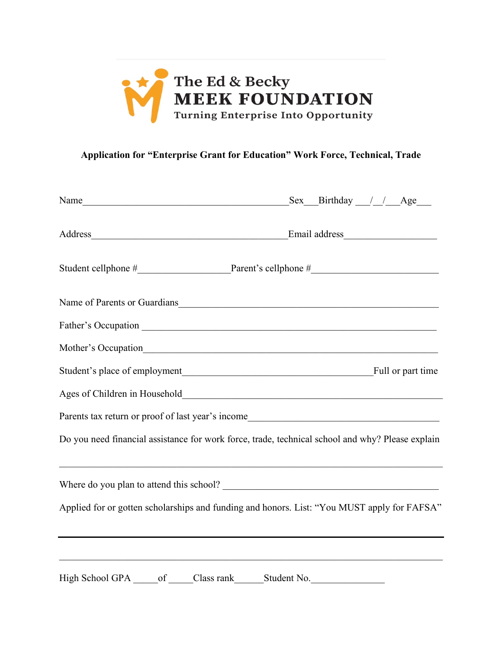

## **Application for "Enterprise Grant for Education" Work Force, Technical, Trade**

|                                                                                                  | $Sex$ Birthday // Age |  |  |
|--------------------------------------------------------------------------------------------------|-----------------------|--|--|
| Address Email address Email address                                                              |                       |  |  |
|                                                                                                  |                       |  |  |
| Name of Parents or Guardians                                                                     |                       |  |  |
|                                                                                                  |                       |  |  |
|                                                                                                  |                       |  |  |
|                                                                                                  |                       |  |  |
|                                                                                                  |                       |  |  |
| Parents tax return or proof of last year's income                                                |                       |  |  |
| Do you need financial assistance for work force, trade, technical school and why? Please explain |                       |  |  |
|                                                                                                  |                       |  |  |
| Applied for or gotten scholarships and funding and honors. List: "You MUST apply for FAFSA"      |                       |  |  |
|                                                                                                  |                       |  |  |
| High School GPA ______ of ______Class rank ________Student No.                                   |                       |  |  |